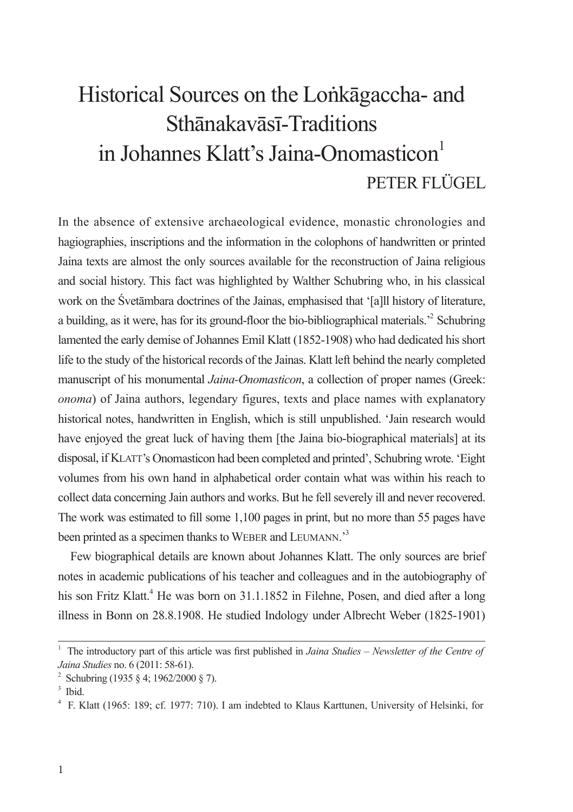# Historical Sources on the Lonkagaccha- and Sthānakavāsī-Traditions in Johannes Klatt's Jaina-Onomasticon<sup>1</sup> PETER FLÜGEL

In the absence of extensive archaeological evidence, monastic chronologies and hagiographies, inscriptions and the information in the colophons of handwritten or printed Jaina texts are almost the only sources available for the reconstruction of Jaina religious and social history. This fact was highlighted by Walther Schubring who, in his classical work on the Svetāmbara doctrines of the Jainas, emphasised that '[a]ll history of literature, a building, as it were, has for its ground-floor the bio-bibliographical materials.<sup>22</sup> Schubring lamented the early demise of Johannes Emil Klatt (1852-1908) who had dedicated his short life to the study of the historical records of the Jainas. Klatt left behind the nearly completed manuscript of his monumental Jaina-Onomasticon, a collection of proper names (Greek: *onoma*) of Jaina authors, legendary figures, texts and place names with explanatory historical notes, handwritten in English, which is still unpublished. 'Jain research would have enjoyed the great luck of having them [the Jaina bio-biographical materials] at its disposal, if KLATT's Onomasticon had been completed and printed', Schubring wrote. 'Eight volumes from his own hand in alphabetical order contain what was within his reach to collect data concerning Jain authors and works. But he fell severely ill and never recovered. The work was estimated to fill some 1,100 pages in print, but no more than 55 pages have been printed as a specimen thanks to WEBER and LEUMANN.<sup>3</sup>

Few biographical details are known about Johannes Klatt. The only sources are brief notes in academic publications of his teacher and colleagues and in the autobiography of his son Fritz Klatt.<sup>4</sup> He was born on 31.1.1852 in Filehne, Posen, and died after a long illness in Bonn on 28.8.1908. He studied Indology under Albrecht Weber (1825-1901)

<sup>&</sup>lt;sup>1</sup> The introductory part of this article was first published in Jaina Studies – Newsletter of the Centre of Jaina Studies no. 6 (2011: 58-61).

<sup>&</sup>lt;sup>2</sup> Schubring (1935 § 4; 1962/2000 § 7).

 $3$  Thid.

<sup>&</sup>lt;sup>4</sup> F. Klatt (1965: 189; cf. 1977: 710). I am indebted to Klaus Karttunen, University of Helsinki, for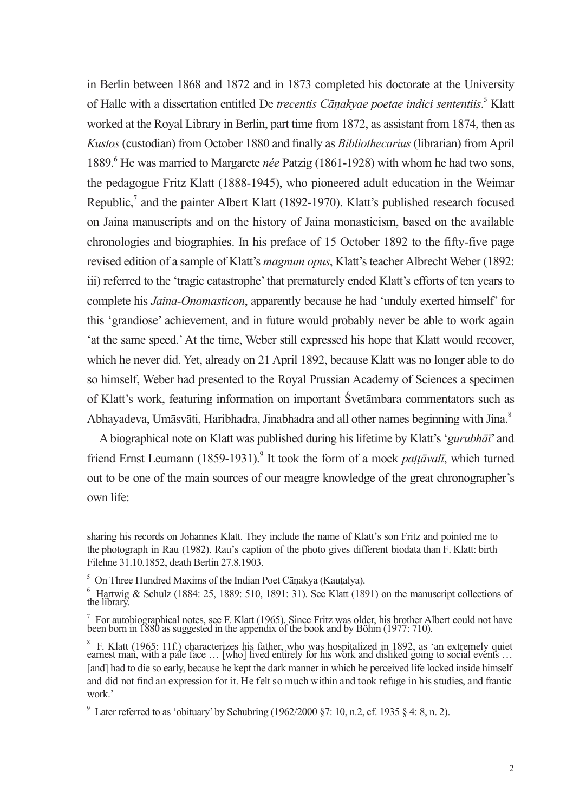in Berlin between 1868 and 1872 and in 1873 completed his doctorate at the University of Halle with a dissertation entitled De trecentis Cānakvae poetae indici sententiis.<sup>5</sup> Klatt worked at the Royal Library in Berlin, part time from 1872, as assistant from 1874, then as Kustos (custodian) from October 1880 and finally as *Bibliothecarius* (librarian) from April 1889. He was married to Margarete *née* Patzig (1861-1928) with whom he had two sons, the pedagogue Fritz Klatt (1888-1945), who pioneered adult education in the Weimar Republic,<sup>7</sup> and the painter Albert Klatt (1892-1970). Klatt's published research focused on Jaina manuscripts and on the history of Jaina monasticism, based on the available chronologies and biographies. In his preface of 15 October 1892 to the fifty-five page revised edition of a sample of Klatt's *magnum opus*. Klatt's teacher Albrecht Weber (1892: iii) referred to the 'tragic catastrophe' that prematurely ended Klatt's efforts of ten years to complete his *Jaina-Onomasticon*, apparently because he had 'unduly exerted himself' for this 'grandiose' achievement, and in future would probably never be able to work again 'at the same speed.' At the time, Weber still expressed his hope that Klatt would recover, which he never did. Yet, already on 21 April 1892, because Klatt was no longer able to do so himself, Weber had presented to the Royal Prussian Academy of Sciences a specimen of Klatt's work, featuring information on important Svetambara commentators such as Abhavadeva, Umāsvāti, Haribhadra, Jinabhadra and all other names beginning with Jina.<sup>8</sup>

A biographical note on Klatt was published during his lifetime by Klatt's 'gurubhati' and friend Ernst Leumann (1859-1931).<sup>9</sup> It took the form of a mock *pattāvalī*, which turned out to be one of the main sources of our meagre knowledge of the great chronographer's own life:

sharing his records on Johannes Klatt. They include the name of Klatt's son Fritz and pointed me to the photograph in Rau (1982). Rau's caption of the photo gives different biodata than F. Klatt: birth Filehne 31.10.1852, death Berlin 27.8.1903.

<sup>&</sup>lt;sup>5</sup> On Three Hundred Maxims of the Indian Poet Cānakya (Kautalya).

 $\frac{6}{10}$  Hartwig & Schulz (1884: 25, 1889: 510, 1891: 31). See Klatt (1891) on the manuscript collections of the library

 $\frac{7}{1}$  For autobiographical notes, see F. Klatt (1965). Since Fritz was older, his brother Albert could not have been born in 1880 as suggested in the appendix of the book and by Böhm (1977: 710).

 $\,^8$  F. Klatt (1965: 11f.) characterizes his father, who was hospitalized in 1892, as 'an extremely quiet earnest man, with a pale face ... [who] lived entirely for his work and disliked going to social events ... [and] had to die so early, because he kept the dark manner in which he perceived life locked inside himself and did not find an expression for it. He felt so much within and took refuge in his studies, and frantic work<sup>,</sup>

<sup>&</sup>lt;sup>9</sup> Later referred to as 'obituary' by Schubring (1962/2000 §7: 10, n.2, cf. 1935 § 4: 8, n. 2).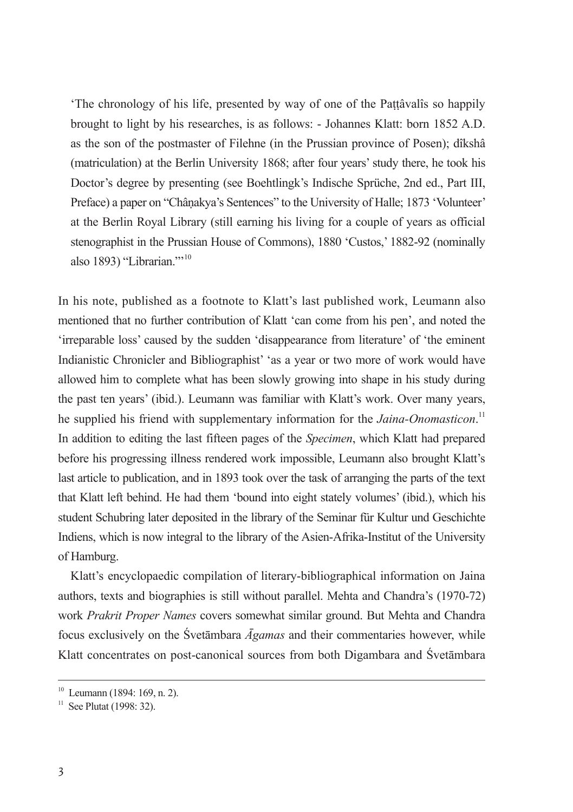'The chronology of his life, presented by way of one of the Pattâvalîs so happily brought to light by his researches, is as follows: - Johannes Klatt: born 1852 A.D. as the son of the postmaster of Filehne (in the Prussian province of Posen): dîkshâ (matriculation) at the Berlin University 1868; after four years' study there, he took his Doctor's degree by presenting (see Boehtlingk's Indische Sprüche, 2nd ed., Part III. Preface) a paper on "Chânakya's Sentences" to the University of Halle; 1873 'Volunteer' at the Berlin Royal Library (still earning his living for a couple of years as official stenographist in the Prussian House of Commons), 1880 'Custos,' 1882-92 (nominally also 1893) "Librarian."<sup>10</sup>

In his note, published as a footnote to Klatt's last published work, Leumann also mentioned that no further contribution of Klatt 'can come from his pen', and noted the 'irreparable loss' caused by the sudden 'disappearance from literature' of 'the eminent Indianistic Chronicler and Bibliographist' 'as a year or two more of work would have allowed him to complete what has been slowly growing into shape in his study during the past ten years' (ibid.). Leumann was familiar with Klatt's work. Over many years. he supplied his friend with supplementary information for the Jaina-Onomasticon.<sup>11</sup> In addition to editing the last fifteen pages of the Specimen, which Klatt had prepared before his progressing illness rendered work impossible, Leumann also brought Klatt's last article to publication, and in 1893 took over the task of arranging the parts of the text that Klatt left behind. He had them 'bound into eight stately volumes' (ibid.), which his student Schubring later deposited in the library of the Seminar für Kultur und Geschichte Indiens, which is now integral to the library of the Asien-Afrika-Institut of the University of Hamburg.

Klatt's encyclopaedic compilation of literary-bibliographical information on Jaina authors, texts and biographies is still without parallel. Mehta and Chandra's (1970-72) work Prakrit Proper Names covers somewhat similar ground. But Mehta and Chandra focus exclusively on the Śvetāmbara  $\bar{A}$ gamas and their commentaries however, while Klatt concentrates on post-canonical sources from both Digambara and Śvetāmbara

 $10$  Leumann (1894: 169, n. 2).

 $11$  See Plutat (1998: 32).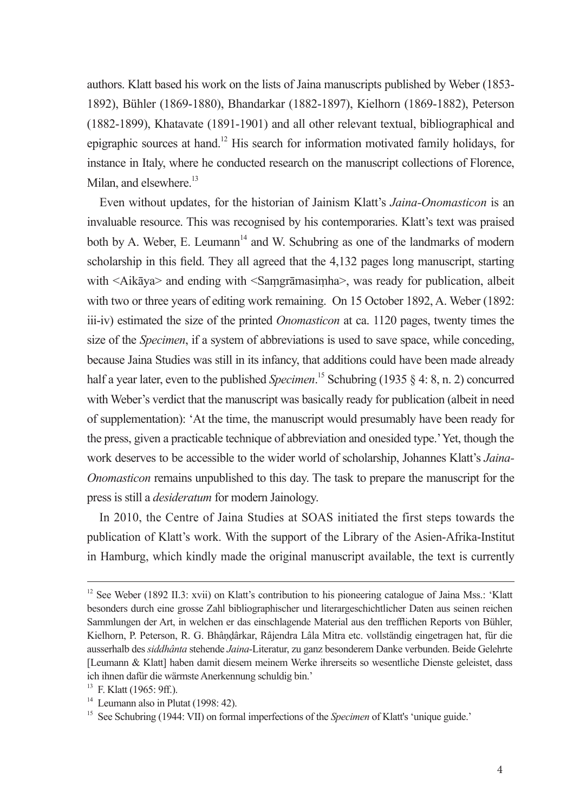authors. Klatt based his work on the lists of Jaina manuscripts published by Weber (1853-1892), Bühler (1869-1880), Bhandarkar (1882-1897), Kielhorn (1869-1882), Peterson (1882-1899), Khatavate (1891-1901) and all other relevant textual, bibliographical and epigraphic sources at hand.<sup>12</sup> His search for information motivated family holidays, for instance in Italy, where he conducted research on the manuscript collections of Florence, Milan, and elsewhere.<sup>13</sup>

Even without updates, for the historian of Jainism Klatt's Jaina-Onomasticon is an invaluable resource. This was recognised by his contemporaries. Klatt's text was praised both by A. Weber, E. Leumann<sup>14</sup> and W. Schubring as one of the landmarks of modern scholarship in this field. They all agreed that the 4,132 pages long manuscript, starting with <Aikava> and ending with <Samgramasimha>, was ready for publication, albeit with two or three years of editing work remaining. On 15 October 1892, A. Weber (1892: iii-iv) estimated the size of the printed *Onomasticon* at ca. 1120 pages, twenty times the size of the *Specimen*, if a system of abbreviations is used to save space, while conceding, because Jaina Studies was still in its infancy, that additions could have been made already half a year later, even to the published *Specimen*.<sup>15</sup> Schubring (1935 § 4: 8, n. 2) concurred with Weber's verdict that the manuscript was basically ready for publication (albeit in need of supplementation): 'At the time, the manuscript would presumably have been ready for the press, given a practicable technique of abbreviation and onesided type.' Yet, though the work deserves to be accessible to the wider world of scholarship, Johannes Klatt's Jaina-Onomasticon remains unpublished to this day. The task to prepare the manuscript for the press is still a *desideratum* for modern Jainology.

In 2010, the Centre of Jaina Studies at SOAS initiated the first steps towards the publication of Klatt's work. With the support of the Library of the Asien-Afrika-Institut in Hamburg, which kindly made the original manuscript available, the text is currently

<sup>&</sup>lt;sup>12</sup> See Weber (1892 II.3: xvii) on Klatt's contribution to his pioneering catalogue of Jaina Mss.: 'Klatt' besonders durch eine grosse Zahl bibliographischer und literargeschichtlicher Daten aus seinen reichen Sammlungen der Art, in welchen er das einschlagende Material aus den trefflichen Reports von Bühler. Kielhorn, P. Peterson, R. G. Bhândârkar, Râiendra Lâla Mitra etc. vollständig eingetragen hat, für die ausserhalb des siddhânta stehende Jaina-Literatur, zu ganz besonderem Danke verbunden. Beide Gelehrte [Leumann & Klatt] haben damit diesem meinem Werke ihrerseits so wesentliche Dienste geleistet, dass ich ihnen dafür die wärmste Anerkennung schuldig bin.'

<sup>&</sup>lt;sup>13</sup> F. Klatt (1965: 9ff.).

 $14$  Leumann also in Plutat (1998: 42).

<sup>&</sup>lt;sup>15</sup> See Schubring (1944: VII) on formal imperfections of the Specimen of Klatt's 'unique guide.'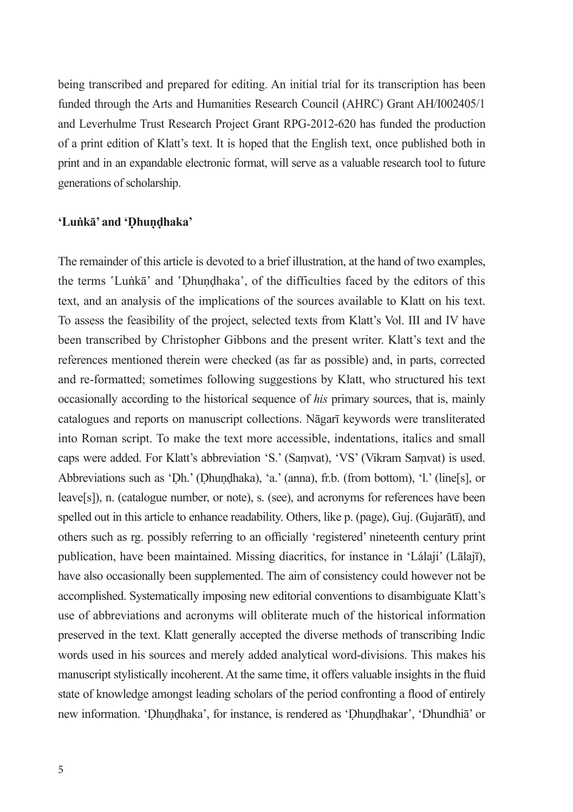being transcribed and prepared for editing. An initial trial for its transcription has been funded through the Arts and Humanities Research Council (AHRC) Grant AH/1002405/1 and Leverhulme Trust Research Project Grant RPG-2012-620 has funded the production of a print edition of Klatt's text. It is hoped that the English text, once published both in print and in an expandable electronic format, will serve as a valuable research tool to future generations of scholarship.

#### 'Lunka' and 'Dhundhaka'

The remainder of this article is devoted to a brief illustration, at the hand of two examples, the terms 'Lunka' and 'Dhundhaka', of the difficulties faced by the editors of this text, and an analysis of the implications of the sources available to Klatt on his text. To assess the feasibility of the project, selected texts from Klatt's Vol. III and IV have been transcribed by Christopher Gibbons and the present writer. Klatt's text and the references mentioned therein were checked (as far as possible) and, in parts, corrected and re-formatted; sometimes following suggestions by Klatt, who structured his text occasionally according to the historical sequence of his primary sources, that is, mainly catalogues and reports on manuscript collections. Nāgarī keywords were transliterated into Roman script. To make the text more accessible, indentations, italics and small caps were added. For Klatt's abbreviation 'S.' (Samvat), 'VS' (Vikram Samvat) is used. Abbreviations such as 'Dh.' (Dhundhaka), 'a.' (anna), fr.b. (from bottom), 'l.' (line[s], or leave[s]), n. (catalogue number, or note), s. (see), and acronyms for references have been spelled out in this article to enhance readability. Others, like p. (page), Guj. (Gujarātī), and others such as rg. possibly referring to an officially 'registered' nineteenth century print publication, have been maintained. Missing diacritics, for instance in 'Lálaji' (Lālajī), have also occasionally been supplemented. The aim of consistency could however not be accomplished. Systematically imposing new editorial conventions to disambiguate Klatt's use of abbreviations and acronyms will obliterate much of the historical information preserved in the text. Klatt generally accepted the diverse methods of transcribing Indic words used in his sources and merely added analytical word-divisions. This makes his manuscript stylistically incoherent. At the same time, it offers valuable insights in the fluid state of knowledge amongst leading scholars of the period confronting a flood of entirely new information. 'Dhundhaka', for instance, is rendered as 'Dhundhakar', 'Dhundhia' or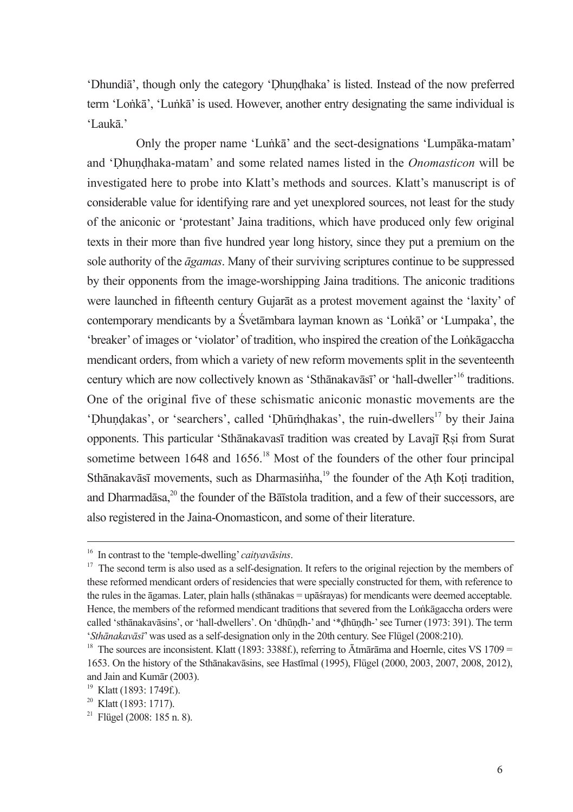'Dhundia', though only the category 'Dhundhaka' is listed. Instead of the now preferred term 'Lonkā', 'Lunkā' is used. However, another entry designating the same individual is 'Laukā.'

Only the proper name 'Lunka' and the sect-designations 'Lumpaka-matam' and 'Dhundhaka-matam' and some related names listed in the Onomasticon will be investigated here to probe into Klatt's methods and sources. Klatt's manuscript is of considerable value for identifying rare and yet unexplored sources, not least for the study of the aniconic or 'protestant' Jaina traditions, which have produced only few original texts in their more than five hundred year long history, since they put a premium on the sole authority of the *agamas*. Many of their surviving scriptures continue to be suppressed by their opponents from the image-worshipping Jaina traditions. The aniconic traditions were launched in fifteenth century Gujarat as a protest movement against the 'laxity' of contemporary mendicants by a Svetāmbara layman known as 'Lonkā' or 'Lumpaka', the 'breaker' of images or 'violator' of tradition, who inspired the creation of the Lonkagaccha mendicant orders, from which a variety of new reform movements split in the seventeenth century which are now collectively known as 'Sthanakavasi' or 'hall-dweller'<sup>16</sup> traditions. One of the original five of these schismatic aniconic monastic movements are the 'Dhundakas', or 'searchers', called 'Dhūmdhakas', the ruin-dwellers<sup>17</sup> by their Jaina opponents. This particular 'Sthanakavasī tradition was created by Lavajī Rsi from Surat sometime between 1648 and 1656.<sup>18</sup> Most of the founders of the other four principal Sthānakavāsī movements, such as Dharmasinha.<sup>19</sup> the founder of the Ath Koti tradition. and Dharmadasa.<sup>20</sup> the founder of the Baistola tradition, and a few of their successors, are also registered in the Jaina-Onomasticon, and some of their literature.

<sup>&</sup>lt;sup>16</sup> In contrast to the 'temple-dwelling' *caitvavasins*.

<sup>&</sup>lt;sup>17</sup> The second term is also used as a self-designation. It refers to the original rejection by the members of these reformed mendicant orders of residencies that were specially constructed for them, with reference to the rules in the agamas. Later, plain halls (sthanakas = upast rayas) for mendicants were deemed acceptable. Hence, the members of the reformed mendicant traditions that severed from the Lonkagaccha orders were called 'sthānakavāsins', or 'hall-dwellers'. On 'dhūndh-' and '\*dhūndh-' see Turner (1973: 391). The term 'Sthānakavāsī' was used as a self-designation only in the 20th century. See Flügel (2008:210).

<sup>&</sup>lt;sup>18</sup> The sources are inconsistent. Klatt (1893: 3388f.), referring to  $\bar{A}$ tmārāma and Hoernle, cites VS 1709 = 1653. On the history of the Sthanakavasins, see Hastimal (1995), Flügel (2000, 2003, 2007, 2008, 2012), and Jain and Kumār (2003)

<sup>&</sup>lt;sup>19</sup> Klatt (1893: 1749f.).

<sup>&</sup>lt;sup>20</sup> Klatt (1893: 1717).

 $^{21}$  Flügel (2008: 185 n. 8).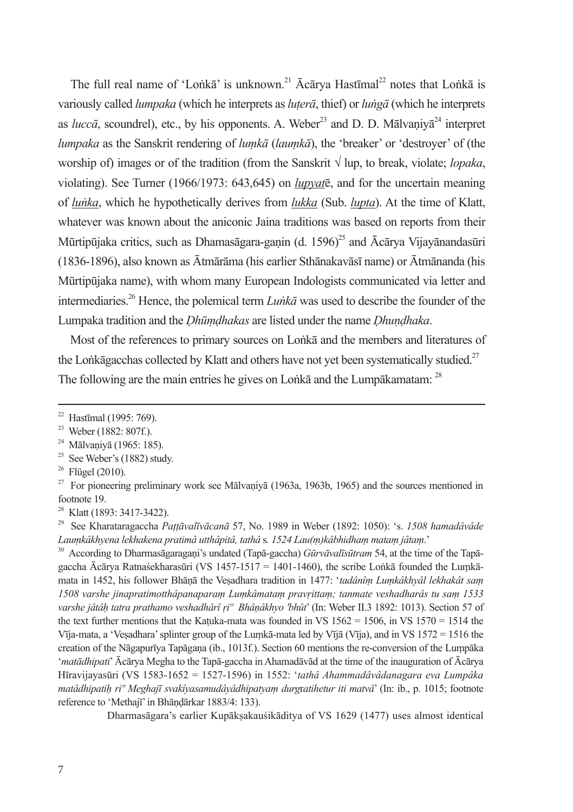The full real name of 'Lonka' is unknown.<sup>21</sup> Acarya Hastimal<sup>22</sup> notes that Lonka is variously called *lumpaka* (which he interprets as *lutera*, thief) or *lunga* (which he interprets as *lucca*, scoundrel), etc., by his opponents. A. Weber<sup>23</sup> and D. D. Malvaniva<sup>24</sup> interpret lumpaka as the Sanskrit rendering of lumka (laumka), the 'breaker' or 'destrover' of (the worship of) images or of the tradition (from the Sanskrit  $\sqrt{2}$  lup, to break, violate; *lopaka*, violating). See Turner (1966/1973: 643,645) on *lupvat* $\bar{e}$ , and for the uncertain meaning of lunka, which he hypothetically derives from lukka (Sub. lupta). At the time of Klatt, whatever was known about the aniconic Jaina traditions was based on reports from their Mūrtipūjaka critics, such as Dhamasāgara-ganin (d. 1596)<sup>25</sup> and Ācārya Vijayānandasūri (1836-1896), also known as Ātmārāma (his earlier Sthānakavāsī name) or Ātmānanda (his Mūrtipūjaka name), with whom many European Indologists communicated via letter and intermediaries.<sup>26</sup> Hence, the polemical term  $Lunk\bar{a}$  was used to describe the founder of the Lumpaka tradition and the *Dhūmdhakas* are listed under the name *Dhundhaka*.

Most of the references to primary sources on Lonka and the members and literatures of the Lonkagacchas collected by Klatt and others have not yet been systematically studied.<sup>27</sup> The following are the main entries he gives on Lonka and the Lumpakamatam: <sup>28</sup>

 $25$  See Weber's (1882) study.

Dharmasāgara's earlier Kupāksakauśikāditva of VS 1629 (1477) uses almost identical

<sup>&</sup>lt;sup>22</sup> Hastīmal (1995: 769).

<sup>&</sup>lt;sup>23</sup> Weber (1882: 807f.).

<sup>&</sup>lt;sup>24</sup> Mālvaniyā (1965: 185).

 $26$  Flügel (2010).

 $27$  For pioneering preliminary work see Malvaniva (1963a, 1963b, 1965) and the sources mentioned in footnote 19.

Klatt (1893: 3417-3422).

 $\, 29$ See Kharataragaccha Pattāvalīvācanā 57, No. 1989 in Weber (1892; 1050); 's. 1508 hamadâvâde Laumkâkhvena lekhakena pratimâ utthâpitâ, tathâ s. 1524 Lau(m)kâbhidham matam jâtam.'

<sup>&</sup>lt;sup>30</sup> According to Dharmasagaragani's undated (Tapa-gaccha) Gūrvāvalīsūtram 54, at the time of the Tapagaccha Ācārya Ratnaśekharasūri (VS 1457-1517 = 1401-1460), the scribe Lonkā founded the Lumkāmata in 1452, his follower Bhānā the Vesadhara tradition in 1477: 'tadânîm Lumkâkhyâl lekhakât sam 1508 varshe jinapratimotthâpanaparam Lumkâmatam pravrittam; tanmate veshadharâs tu sam 1533 varshe jâtâh tatra prathamo veshadhârî ri<sup>o</sup> Bhânâkhyo 'bhût' (In: Weber II.3 1892: 1013). Section 57 of the text further mentions that the Katuka-mata was founded in VS  $1562 = 1506$ , in VS  $1570 = 1514$  the Vīja-mata, a 'Vesadhara' splinter group of the Lumkā-mata led by Vījā (Vīja), and in VS 1572 = 1516 the creation of the Nāgapurīya Tapāgana (ib., 1013f.). Section 60 mentions the re-conversion of the Lumpāka 'matādhipati' Ācārya Megha to the Tapā-gaccha in Ahamadāyād at the time of the inauguration of Ācārya Hīravijavasūri (VS 1583-1652 = 1527-1596) in 1552: 'tathâ Ahammadâyâdanagara eva Lumpâka matâdhipatih ri<sup>o</sup> Meghajī svakîvasamudâvâdhipatvam durgratihetur iti matvâ' (In: ib., p. 1015; footnote reference to 'Methajī' in Bhāndārkar 1883/4: 133).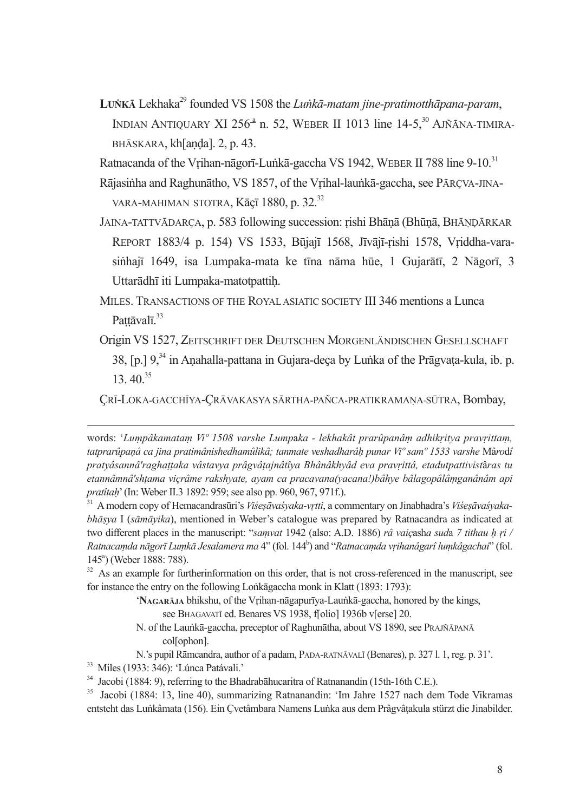LUNKĀ Lekhaka<sup>29</sup> founded VS 1508 the Lunkā-matam jine-pratimotthāpana-param, INDIAN ANTIQUARY XI 256<sup>-3</sup> n. 52, WEBER II 1013 line 14-5,<sup>30</sup> AJÑĀNA-TIMIRA-BHĀSKARA, kh[anda]. 2, p. 43.

Ratnacanda of the Vrihan-nāgorī-Lunkā-gaccha VS 1942, WEBER II 788 line 9-10.31

- Rājasinha and Raghunātho, VS 1857, of the Vrihal-launkā-gaccha, see PĀRCVA-JINA-VARA-MAHIMAN STOTRA, Kāçī 1880, p. 32.<sup>32</sup>
- JAINA-TATTVĀDARÇA, p. 583 following succession; rishi Bhānā (Bhūnā, BHĀNDĀRKAR REPORT 1883/4 p. 154) VS 1533, Būjajī 1568, Jīvājī-rishi 1578, Vriddha-varasinhajī 1649, isa Lumpaka-mata ke tīna nāma hūe, 1 Gujarātī, 2 Nāgorī, 3 Uttarādhī iti Lumpaka-matotpattih.
- MILES. TRANSACTIONS OF THE ROYAL ASIATIC SOCIETY III 346 mentions a Lunca Pattāvalī.<sup>33</sup>
- Origin VS 1527, ZEITSCHRIFT DER DEUTSCHEN MORGENLÄNDISCHEN GESELLSCHAFT 38, [p.] 9,<sup>34</sup> in Anahalla-pattana in Gujara-deca by Lunka of the Prāgvata-kula, ib. p.  $13.40^{35}$

CRĪ-LOKA-GACCHĪYA-CRĀVAKASYA SĀRTHA-PAÑCA-PRATIKRAMANA-SŪTRA. Bombav.

<sup>32</sup> As an example for furtherinformation on this order, that is not cross-referenced in the manuscript, see for instance the entry on the following Lonkagaccha monk in Klatt (1893: 1793):

> 'NAGARĀJA bhikshu, of the Vrihan-nāgapurīya-Launkā-gaccha, honored by the kings, see BHAGAVATI ed. Benares VS 1938. floliol 1936b vlersel 20.

N. of the Launkā-gaccha, preceptor of Raghunātha, about VS 1890, see PRAJÑĀPANĀ collophon].

N.'s pupil Rāmcandra, author of a padam, PADA-RATNĀVALĪ (Benares), p. 327 l. 1, reg. p. 31'.

<sup>33</sup> Miles (1933: 346): 'Lúnca Patávali.'

words: 'Lumpâkamatam Vi' 1508 varshe Lumpaka - lekhakât prarûpanâm adhikritva pravrittam. tatprarûnanâ ca jina pratimânishedhamûlikâ: tanmate veshadharâh punar  $V_t^o$ sam $^o$  1533 varshe Mârodî pratvásanná raghattaka vástavva prágvátainátíva Bhânákhvád eva pravrittá, etadutpattivistáras tu etannâmnâ'shtama viçrâme rakshyate, ayam ca pracavana(yacana!)bâhye bâlagopâlâmganânâm api pratitah' (In: Weber II.3 1892: 959; see also pp. 960, 967, 971f.).

<sup>&</sup>lt;sup>31</sup> A modern copy of Hemacandrasūri's Viśesāvaśyaka-vrtti, a commentary on Jinabhadra's Viśesāvaśyakabhāsva I (sāmāvika), mentioned in Weber's catalogue was prepared by Ratnacandra as indicated at two different places in the manuscript: "samvat 1942 (also: A.D. 1886) râ vaiçasha suda 7 tithau h ri / Ratnacamda nāgorī Lumkā Jesalamera ma 4" (fol. 144<sup>b</sup>) and "Ratnacamda vrihanâgarî lumkâgachai" (fol. 145<sup>a</sup>) (Weber 1888: 788).

<sup>&</sup>lt;sup>34</sup> Jacobi (1884: 9), referring to the Bhadrabahucaritra of Ratnanandin (15th-16th C.E.).

<sup>&</sup>lt;sup>35</sup> Jacobi (1884: 13. line 40). summarizing Ratnanandin: 'Im Jahre 1527 nach dem Tode Vikramas entsteht das Lunkâmata (156). Ein Çvetâmbara Namens Lunka aus dem Prâgvâțakula stürzt die Jinabilder.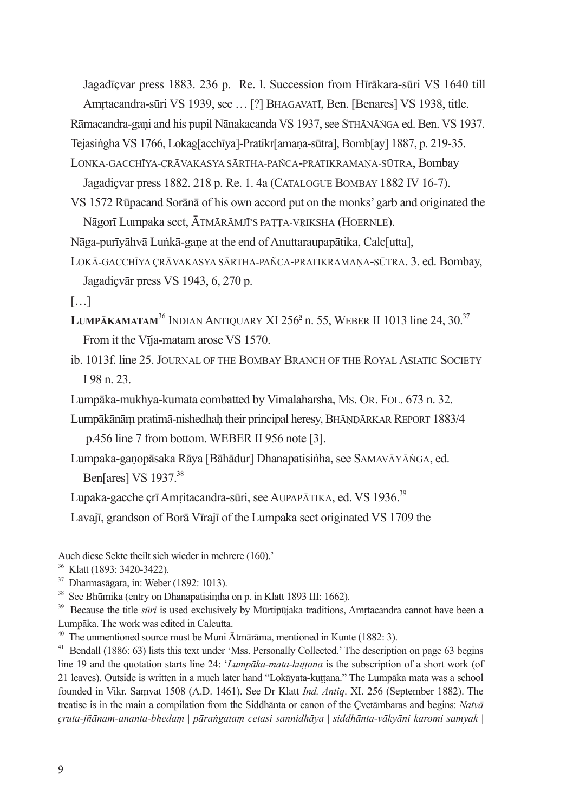Jagadīçvar press 1883. 236 p. Re. l. Succession from Hīrākara-sūri VS 1640 till

Amrtacandra-sūri VS 1939, see ... [?] BHAGAVATĪ, Ben. [Benares] VS 1938, title.

Rāmacandra-gani and his pupil Nānakacanda VS 1937, see STHĀNĀNGA ed. Ben. VS 1937.

Tejasingha VS 1766, Lokag[acchīya]-Pratikr[amana-sūtra], Bomb[ay] 1887, p. 219-35.

LONKA-GACCHĪYA-ÇRĀVAKASYA SĀRTHA-PAÑCA-PRATIKRAMAŅA-SŪTRA, Bombay Jagadicvar press 1882, 218 p. Re. 1, 4a (CATALOGUE BOMBAY 1882 IV 16-7).

VS 1572 Rūpacand Sorānā of his own accord put on the monks' garb and originated the Nāgorī Lumpaka sect, ĀTMĀRĀMJĪ'S PATTA-VRIKSHA (HOERNLE).

Nāga-purīvāhvā Lunkā-gane at the end of Anuttaraupapātika, Calc[utta],

- LOKĀ-GACCHĪYA ÇRĀVAKASYA SĀRTHA-PAÑCA-PRATIKRAMAŅA-SŪTRA. 3. ed. Bombay, Jagadicvār press VS 1943, 6, 270 p.
- $\left[\ldots\right]$
- LUMPĀKAMATAM<sup>36</sup> INDIAN ANTIOUARY XI 256<sup>ª</sup> n. 55. WEBER II 1013 line 24. 30.<sup>37</sup> From it the Vīja-matam arose VS 1570.
- ib. 1013f. line 25. JOURNAL OF THE BOMBAY BRANCH OF THE ROYAL ASIATIC SOCIETY  $198 n 23$

Lumpāka-mukhva-kumata combatted by Vimalaharsha, Ms. OR. FOL. 673 n. 32.

- Lumpākānām pratimā-nishedhah their principal heresy, BHĀŅDĀRKAR REPORT 1883/4 p.456 line 7 from bottom. WEBER II 956 note [3].
- Lumpaka-ganopāsaka Rāya [Bāhādur] Dhanapatisinha, see SAMAVĀYĀNGA, ed. Ben[ares] VS 1937.<sup>38</sup>

Lupaka-gacche crī Amritacandra-sūri, see AUPAPĀTIKA, ed. VS 1936.<sup>39</sup>

Lavajī, grandson of Borā Vīrajī of the Lumpaka sect originated VS 1709 the

Auch diese Sekte theilt sich wieder in mehrere (160).

<sup>&</sup>lt;sup>36</sup> Klatt (1893: 3420-3422).

 $37$  Dharmasagara, in: Weber (1892: 1013).

<sup>&</sup>lt;sup>38</sup> See Bhūmika (entry on Dhanapatisimha on p. in Klatt 1893 III: 1662).

 $39\,$ Because the title *sūri* is used exclusively by Mūrtipūjaka traditions, Amrtacandra cannot have been a Lumpāka. The work was edited in Calcutta.

<sup>&</sup>lt;sup>40</sup> The unmentioned source must be Muni Ātmārāma, mentioned in Kunte (1882: 3).

<sup>&</sup>lt;sup>41</sup> Bendall (1886: 63) lists this text under 'Mss. Personally Collected.' The description on page 63 begins line 19 and the quotation starts line 24: 'Lumpāka-mata-kuttana is the subscription of a short work (of 21 leaves). Outside is written in a much later hand "Lokavata-kuttana." The Lumpaka mata was a school founded in Vikr. Samvat 1508 (A.D. 1461). See Dr Klatt Ind. Antiq. XI. 256 (September 1882). The treatise is in the main a compilation from the Siddhanta or canon of the Cvetambaras and begins: Natva cruta-jñānam-ananta-bhedam | pārangatam cetasi sannidhāva | siddhānta-vākvāni karomi samvak |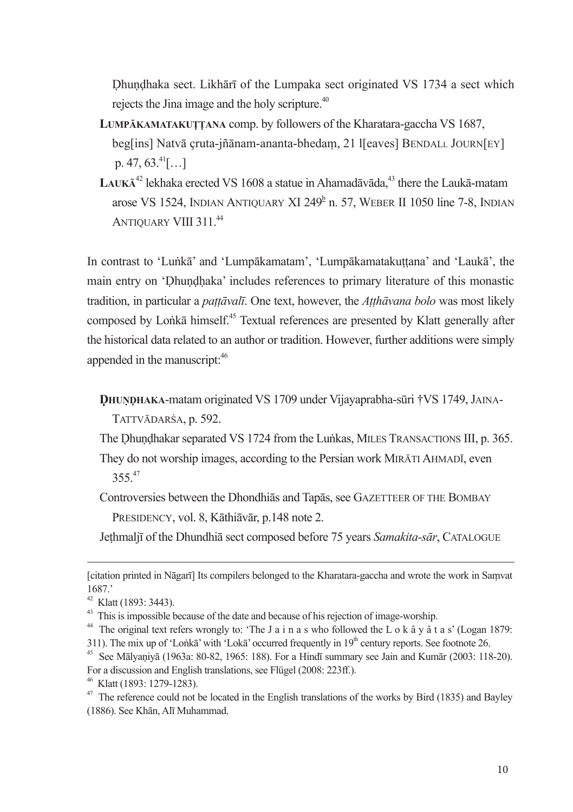Dhundhaka sect. Likhārī of the Lumpaka sect originated VS 1734 a sect which rejects the Jina image and the holy scripture.<sup>40</sup>

- LUMPĀKAMATAKUTTANA comp. by followers of the Kharatara-gaccha VS 1687, beg[ins] Natvā cruta-iñānam-ananta-bhedam, 21 I[eaves] BENDALL JOURN[EY]  $p. 47, 63.<sup>41</sup>$ [...]
- LAUKĀ<sup>42</sup> lekhaka erected VS 1608 a statue in Ahamadāvāda,<sup>43</sup> there the Laukā-matam arose VS 1524, INDIAN ANTIQUARY XI 249<sup>b</sup> n. 57, WEBER II 1050 line 7-8, INDIAN **ANTIOUARY VIII 311 44**

In contrast to 'Lunka' and 'Lumpakamatam', 'Lumpakamatakuttana' and 'Lauka', the main entry on 'Dhundhaka' includes references to primary literature of this monastic tradition, in particular a *pattāvalī*. One text, however, the *Atthāvana bolo* was most likely composed by Lonka himself.<sup>45</sup> Textual references are presented by Klatt generally after the historical data related to an author or tradition. However, further additions were simply appended in the manuscript:<sup>46</sup>

**DHUNDHAKA-matam originated VS 1709 under Vijavaprabha-sūri †VS 1749, JAINA-**

TATTVĀDARŚA, p. 592.

The Dhundhakar separated VS 1724 from the Lunkas, MILES TRANSACTIONS III, p. 365. They do not worship images, according to the Persian work MIRATI AHMADI, even  $355^{47}$ 

Controversies between the Dhondhiās and Tapās, see GAZETTEER OF THE BOMBAY PRESIDENCY, vol. 8, Kāthiāvār, p.148 note 2.

Jethmaljī of the Dhundhiā sect composed before 75 years Samakita-sār, CATALOGUE

<sup>[</sup>citation printed in Nāgarī] Its compilers belonged to the Kharatara-gaccha and wrote the work in Samvat  $1687'$ 

<sup>&</sup>lt;sup>42</sup> Klatt (1893: 3443).

<sup>&</sup>lt;sup>43</sup> This is impossible because of the date and because of his rejection of image-worship.

<sup>&</sup>lt;sup>44</sup> The original text refers wrongly to: 'The J a i n a s who followed the L o k  $\hat{a}$  v  $\hat{a}$  t a s' (Logan 1879: 311). The mix up of 'Lonka' with 'Loka' occurred frequently in  $19<sup>th</sup>$  century reports. See footnote 26.

<sup>&</sup>lt;sup>45</sup> See Mālvanivā (1963a: 80-82, 1965; 188). For a Hindī summary see Jain and Kumār (2003; 118-20). For a discussion and English translations, see Flügel (2008: 223ff.).

<sup>&</sup>lt;sup>46</sup> Klatt (1893: 1279-1283).

 $47$  The reference could not be located in the English translations of the works by Bird (1835) and Bayley (1886). See Khān, Alī Muhammad.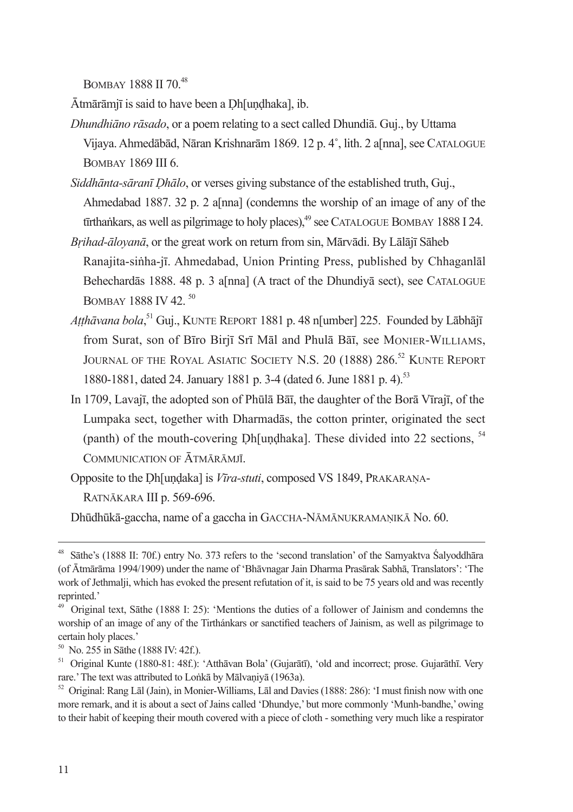BOMBAY 1888 II 70<sup>48</sup>

Ātmārāmjī is said to have been a Dh[undhaka], ib.

- Dhundhiāno rāsado, or a poem relating to a sect called Dhundiā. Gui., by Uttama Vijava, Ahmedābād, Nāran Krishnarām 1869, 12 p. 4°, lith, 2 alī nal. see CATALOGUE **BOMBAY 1869 III 6.**
- Siddhānta-sāranī Dhālo, or verses giving substance of the established truth, Guj., Ahmedabad 1887. 32 p. 2 a[nna] (condemns the worship of an image of any of the firthankars, as well as pilgrimage to holy places),<sup>49</sup> see CATALOGUE BOMBAY 1888 I 24.
- Brihad-ālovanā, or the great work on return from sin, Mārvādi. By Lālājī Sāheb Ranajita-sinha-jī. Ahmedabad, Union Printing Press, published by Chhaganlāl Behechardās 1888. 48 p. 3 a[nna] (A tract of the Dhundivā sect), see CATALOGUE BOMBAY 1888 IV 42.<sup>50</sup>
- Atthāvana bola.<sup>51</sup> Gui., KUNTE REPORT 1881 p. 48 n<sup>[</sup>umber] 225. Founded by Lābhājī from Surat, son of Bīro Birjī Srī Māl and Phulā Bāī, see MONIER-WILLIAMS, JOURNAL OF THE ROYAL ASIATIC SOCIETY N.S. 20 (1888) 286.<sup>52</sup> KUNTE REPORT 1880-1881, dated 24. January 1881 p. 3-4 (dated 6. June 1881 p. 4).<sup>53</sup>
- In 1709. Lavaii, the adopted son of Phūlā Bāī, the daughter of the Borā Vīraiī, of the Lumpaka sect, together with Dharmadas, the cotton printer, originated the sect (panth) of the mouth-covering Dh[undhaka]. These divided into 22 sections, <sup>54</sup> COMMUNICATION OF ATMARAMIT

Opposite to the Dh<sup>[</sup>undaka] is *Vīra-stuti*, composed VS 1849, PRAKARANA-

RATNĀKARA III p. 569-696.

Dhūdhūkā-gaccha, name of a gaccha in GACCHA-NĀMĀNUKRAMAŅIKĀ No. 60.

<sup>&</sup>lt;sup>48</sup> Sāthe's (1888 II: 70f.) entry No. 373 refers to the 'second translation' of the Samyaktva Salyoddhāra (of Ātmārāma 1994/1909) under the name of 'Bhāvnagar Jain Dharma Prasārak Sabhā, Translators': 'The work of Jethmalii, which has evoked the present refutation of it, is said to be 75 years old and was recently reprinted.'

<sup>&</sup>lt;sup>49</sup> Original text, Sathe (1888 I: 25): 'Mentions the duties of a follower of Jainism and condemns the worship of an image of any of the Tirthánkars or sanctified teachers of Jainism, as well as pilgrimage to certain holy places.'

 $^{50}$  No. 255 in Sathe (1888 IV: 42f.).

<sup>&</sup>lt;sup>51</sup> Original Kunte (1880-81: 48f.): 'Atthavan Bola' (Gujarati), 'old and incorrect; prose. Gujarathi. Very rare.' The text was attributed to Lonka by Malvaniva (1963a).

 $52$  Original: Rang Lal (Jain), in Monier-Williams, Lal and Davies (1888; 286): 'I must finish now with one more remark, and it is about a sect of Jains called 'Dhundye,' but more commonly 'Munh-bandhe,' owing to their habit of keeping their mouth covered with a piece of cloth - something very much like a respirator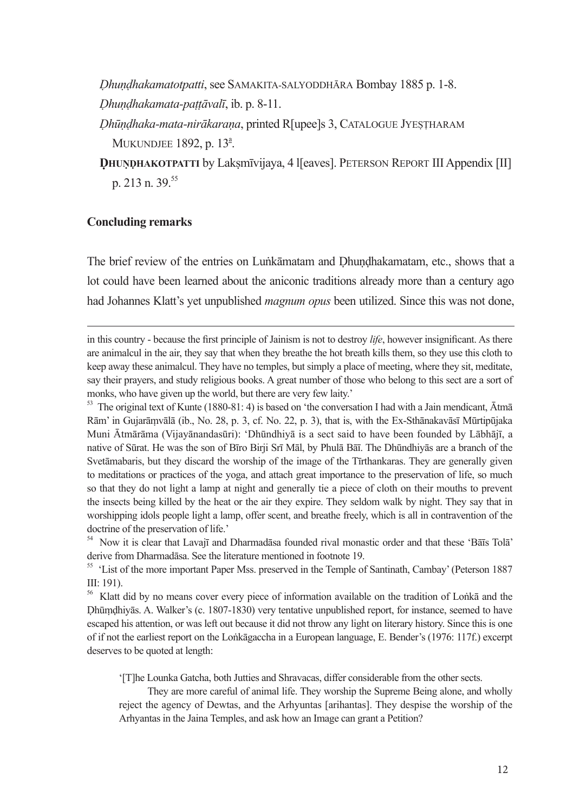Dhundhakamatotpatti, see SAMAKITA-SALYODDHĀRA Bombay 1885 p. 1-8. Dhundhakamata-pattāvalī, ib. p. 8-11.

Dhūndhaka-mata-nirākarana, printed R[upee]s 3, CATALOGUE JYESTHARAM MUKUNDJEE 1892. p. 13<sup>ª</sup>.

DHUNDHAKOTPATTI by Laksmīvijaya, 4 I [eaves]. PETERSON REPORT III Appendix [II] n. 213 n. 39.55

#### **Concluding remarks**

The brief review of the entries on Lunkamatam and Dhundhakamatam, etc., shows that a lot could have been learned about the aniconic traditions already more than a century ago had Johannes Klatt's yet unpublished *magnum opus* been utilized. Since this was not done,

in this country - because the first principle of Jainism is not to destroy *life*, however insignificant. As there are animalcul in the air, they say that when they breathe the hot breath kills them, so they use this cloth to keep away these animalcul. They have no temples, but simply a place of meeting, where they sit, meditate, say their prayers, and study religious books. A great number of those who belong to this sect are a sort of monks, who have given up the world, but there are very few laity.'

<sup>53</sup> The original text of Kunte (1880-81: 4) is based on 'the conversation I had with a Jain mendicant, Atma Rām' in Gujarāmvālā (ib., No. 28, p. 3, cf. No. 22, p. 3), that is, with the Ex-Sthānakavāsī Mūrtipūjaka Muni Ātmārāma (Vijayānandasūri): 'Dhūndhiyā is a sect said to have been founded by Lābhājī, a native of Sūrat. He was the son of Bīro Birji Srī Māl, by Phulā Bāī. The Dhūndhiyās are a branch of the Svetāmabaris, but they discard the worship of the image of the Tīrthankaras. They are generally given to meditations or practices of the yoga, and attach great importance to the preservation of life, so much so that they do not light a lamp at night and generally tie a piece of cloth on their mouths to prevent the insects being killed by the heat or the air they expire. They seldom walk by night. They say that in worshipping idols people light a lamp, offer scent, and breathe freely, which is all in contravention of the doctrine of the preservation of life.'

<sup>54</sup> Now it is clear that Lavajī and Dharmadasa founded rival monastic order and that these 'Bais Tola' derive from Dharmadasa. See the literature mentioned in footnote 19.

<sup>55</sup> 'List of the more important Paper Mss. preserved in the Temple of Santinath, Cambay' (Peterson 1887  $III: 191$ ).

<sup>56</sup> Klatt did by no means cover every piece of information available on the tradition of Lonka and the Dhūmdhiyās. A. Walker's (c. 1807-1830) very tentative unpublished report, for instance, seemed to have escaped his attention, or was left out because it did not throw any light on literary history. Since this is one of if not the earliest report on the Lonkāgaccha in a European language, E. Bender's (1976; 117f.) excerpt deserves to be quoted at length:

'[T]he Lounka Gatcha, both Jutties and Shravacas, differ considerable from the other sects.

They are more careful of animal life. They worship the Supreme Being alone, and wholly reject the agency of Dewtas, and the Arhyuntas [arihantas]. They despise the worship of the Arhyantas in the Jaina Temples, and ask how an Image can grant a Petition?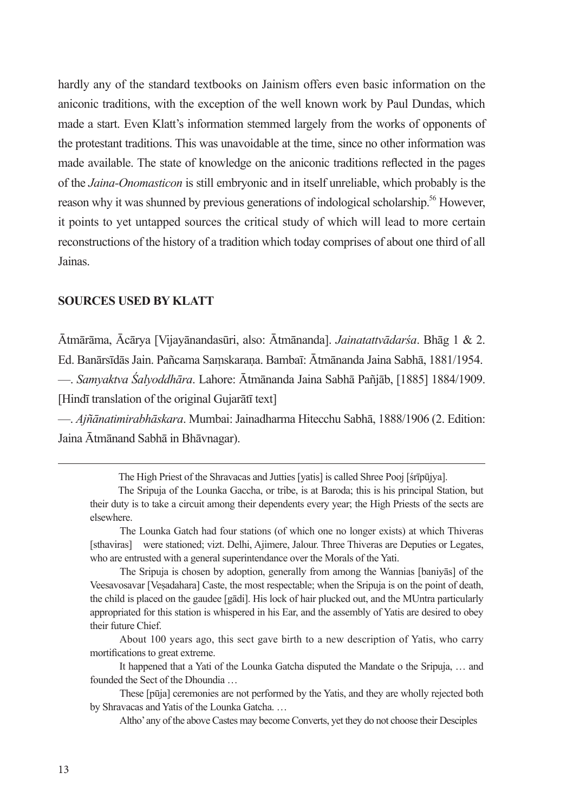hardly any of the standard textbooks on Jainism offers even basic information on the aniconic traditions, with the exception of the well known work by Paul Dundas, which made a start. Even Klatt's information stemmed largely from the works of opponents of the protestant traditions. This was unavoidable at the time, since no other information was made available. The state of knowledge on the aniconic traditions reflected in the pages of the Jaina-Onomasticon is still embryonic and in itself unreliable, which probably is the reason why it was shunned by previous generations of indological scholarship.<sup>56</sup> However, it points to yet untapped sources the critical study of which will lead to more certain reconstructions of the history of a tradition which today comprises of about one third of all Jainas.

### **SOURCES USED BY KLATT**

Ātmārāma, Ācārya [Vijayānandasūri, also: Ātmānanda]. Jainatattvādarśa. Bhāg 1 & 2. Ed. Banārsīdās Jain. Pañcama Samskarana. Bambaī: Ātmānanda Jaina Sabhā, 1881/1954. — Samyaktva Śalvoddhāra. Lahore: Ātmānanda Jaina Sabhā Pañjāb, [1885] 1884/1909. [Hindī translation of the original Guiaratī text]

- Ajñānatimirabhāskara. Mumbai: Jainadharma Hitecchu Sabhā, 1888/1906 (2. Edition: Jaina Ātmānand Sabhā in Bhāvnagar).

The Sripuia is chosen by adoption, generally from among the Wannias [banivas] of the Veesavosavar [Veșadahara] Caste, the most respectable; when the Sripuja is on the point of death, the child is placed on the gaudee [gadi]. His lock of hair plucked out, and the MUntra particularly appropriated for this station is whispered in his Ear, and the assembly of Yatis are desired to obey their future Chief

About 100 years ago, this sect gave birth to a new description of Yatis, who carry mortifications to great extreme.

It happened that a Yati of the Lounka Gatcha disputed the Mandate o the Sripuja, ... and founded the Sect of the Dhoundia

These [pūja] ceremonies are not performed by the Yatis, and they are wholly rejected both by Shravacas and Yatis of the Lounka Gatcha....

Altho' any of the above Castes may become Converts, yet they do not choose their Desciples

The High Priest of the Shravacas and Jutties [yatis] is called Shree Pooj [śrīpūjya].

The Sripuja of the Lounka Gaccha, or tribe, is at Baroda; this is his principal Station, but their duty is to take a circuit among their dependents every year; the High Priests of the sects are elsewhere

The Lounka Gatch had four stations (of which one no longer exists) at which Thiveras [sthaviras] were stationed; vizt. Delhi, Ajimere, Jalour. Three Thiveras are Deputies or Legates, who are entrusted with a general superintendance over the Morals of the Yati.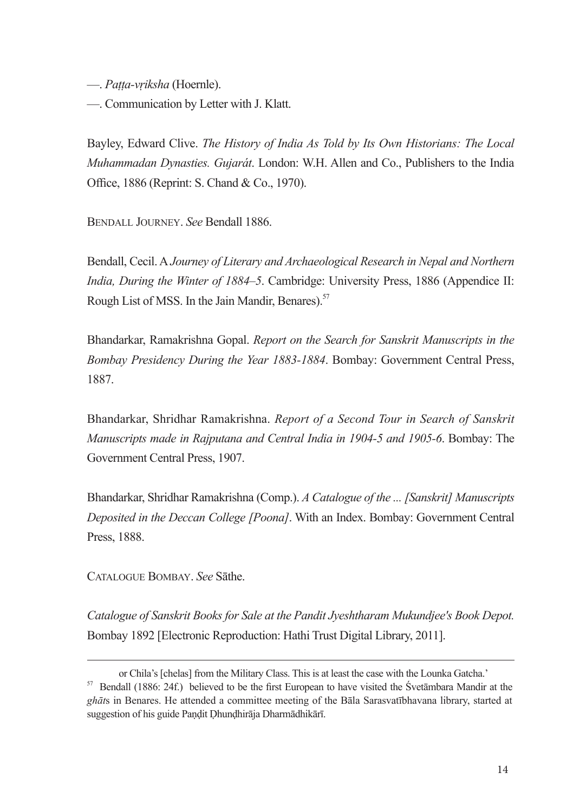- Patta-vriksha (Hoernle).

- Communication by Letter with J. Klatt.

Bayley, Edward Clive, The History of India As Told by Its Own Historians: The Local Muhammadan Dynasties. Gujarát. London: W.H. Allen and Co., Publishers to the India Office, 1886 (Reprint: S. Chand & Co., 1970).

**BENDALL JOURNEY See Bendall 1886** 

Bendall, Cecil. A Journey of Literary and Archaeological Research in Nepal and Northern India, During the Winter of 1884–5. Cambridge: University Press, 1886 (Appendice II: Rough List of MSS. In the Jain Mandir, Benares).<sup>57</sup>

Bhandarkar, Ramakrishna Gopal. Report on the Search for Sanskrit Manuscripts in the Bombay Presidency During the Year 1883-1884. Bombay: Government Central Press, 1887

Bhandarkar, Shridhar Ramakrishna. Report of a Second Tour in Search of Sanskrit Manuscripts made in Rajputana and Central India in 1904-5 and 1905-6. Bombay: The Government Central Press, 1907.

Bhandarkar, Shridhar Ramakrishna (Comp.). A Catalogue of the ... [Sanskrit] Manuscripts Deposited in the Deccan College [Poona]. With an Index. Bombay: Government Central Press, 1888.

CATALOGUE BOMBAY See Sathe

Catalogue of Sanskrit Books for Sale at the Pandit Jyeshtharam Mukundjee's Book Depot. Bombay 1892 [Electronic Reproduction: Hathi Trust Digital Library, 2011].

or Chila's [chelas] from the Military Class. This is at least the case with the Lounka Gatcha'

<sup>&</sup>lt;sup>57</sup> Bendall (1886: 24f.) believed to be the first European to have visited the Svetambara Mandir at the ghāts in Benares. He attended a committee meeting of the Bāla Sarasvatībhavana library, started at suggestion of his guide Pandit Dhundhiraja Dharmadhikarī.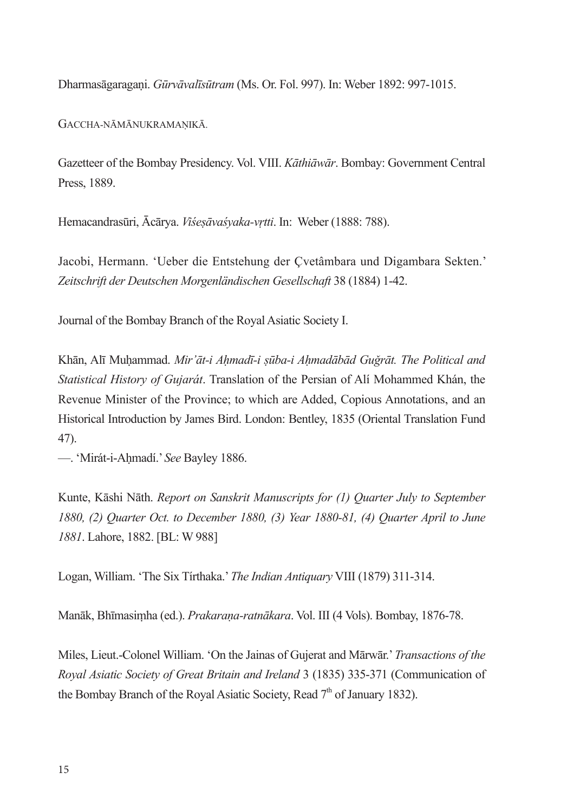Dharmasāgaragani. Gūrvāvalīsūtram (Ms. Or. Fol. 997). In: Weber 1892: 997-1015.

GACCHA-NĀMĀNUKRAMANIKĀ.

Gazetteer of the Bombay Presidency. Vol. VIII. Kāthiāwār. Bombay: Government Central Press. 1889.

Hemacandrasūri, Ācārya. Viśesāvaśvaka-vrtti. In: Weber (1888: 788).

Jacobi, Hermann. 'Ueber die Entstehung der Çvetâmbara und Digambara Sekten.' Zeitschrift der Deutschen Morgenländischen Gesellschaft 38 (1884) 1-42.

Journal of the Bombay Branch of the Royal Asiatic Society I.

Khān, Alī Muhammad. Mir'āt-i Ahmadī-i sūba-i Ahmadābād Guğrāt. The Political and Statistical History of Gujarát. Translation of the Persian of Alí Mohammed Khán, the Revenue Minister of the Province: to which are Added. Copious Annotations, and an Historical Introduction by James Bird. London: Bentley, 1835 (Oriental Translation Fund  $(47)$ 

- Mirát-i-Ahmadí.' See Bayley 1886.

Kunte, Kāshi Nāth. Report on Sanskrit Manuscripts for (1) Quarter July to September 1880, (2) Ouarter Oct. to December 1880, (3) Year 1880-81, (4) Ouarter April to June 1881. Lahore, 1882. [BL: W 988]

Logan, William. 'The Six Tirthaka.' The Indian Antiquary VIII (1879) 311-314.

Manāk, Bhīmasimha (ed.). Prakarana-ratnākara. Vol. III (4 Vols). Bombay, 1876-78.

Miles, Lieut.-Colonel William. 'On the Jainas of Gujerat and Mārwār.' Transactions of the Roval Asiatic Society of Great Britain and Ireland 3 (1835) 335-371 (Communication of the Bombay Branch of the Royal Asiatic Society, Read  $7<sup>th</sup>$  of January 1832).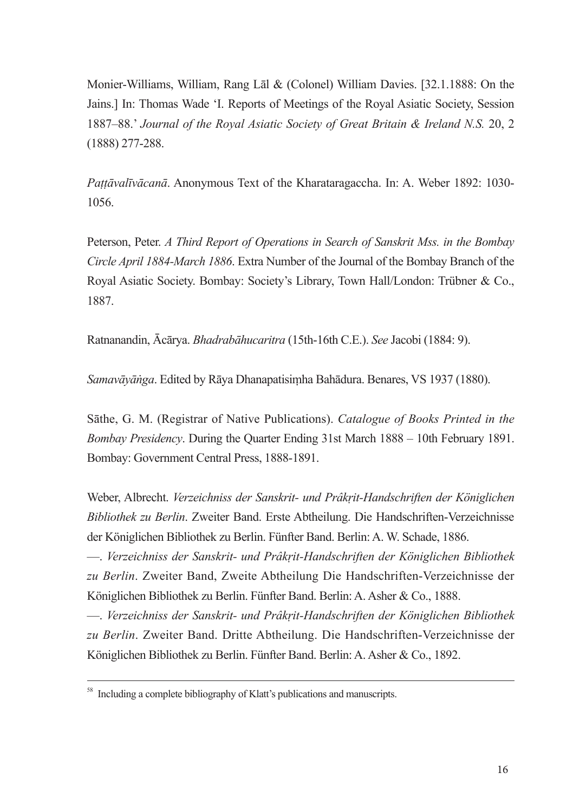Monier-Williams, William, Rang Lal & (Colonel) William Davies. [32.1.1888: On the Jains.] In: Thomas Wade 'I. Reports of Meetings of the Royal Asiatic Society, Session 1887–88.' Journal of the Royal Asiatic Society of Great Britain & Ireland N.S. 20, 2  $(1888)$  277-288.

Pattāvalīvācanā. Anonymous Text of the Kharataragaccha. In: A. Weber 1892: 1030-1056

Peterson, Peter. A Third Report of Operations in Search of Sanskrit Mss. in the Bombay Circle April 1884-March 1886. Extra Number of the Journal of the Bombay Branch of the Royal Asiatic Society. Bombay: Society's Library, Town Hall/London: Trübner & Co., 1887

Ratnanandin, Ācārya. Bhadrabāhucaritra (15th-16th C.E.). See Jacobi (1884: 9).

Samavāvānga. Edited by Rāva Dhanapatisimha Bahādura. Benares, VS 1937 (1880).

Sāthe, G. M. (Registrar of Native Publications). Catalogue of Books Printed in the Bombay Presidency. During the Quarter Ending 31st March 1888 – 10th February 1891. Bombay: Government Central Press, 1888-1891.

Weber, Albrecht. Verzeichniss der Sanskrit- und Prâkrit-Handschriften der Königlichen Bibliothek zu Berlin. Zweiter Band. Erste Abtheilung. Die Handschriften-Verzeichnisse der Königlichen Bibliothek zu Berlin. Fünfter Band. Berlin: A. W. Schade, 1886.

- Verzeichniss der Sanskrit- und Prâkrit-Handschriften der Königlichen Bibliothek zu Berlin, Zweiter Band, Zweite Abtheilung Die Handschriften-Verzeichnisse der Königlichen Bibliothek zu Berlin. Fünfter Band. Berlin: A. Asher & Co., 1888.

- Verzeichniss der Sanskrit- und Prâkrit-Handschriften der Königlichen Bibliothek zu Berlin. Zweiter Band. Dritte Abtheilung. Die Handschriften-Verzeichnisse der Königlichen Bibliothek zu Berlin. Fünfter Band. Berlin: A. Asher & Co., 1892.

<sup>&</sup>lt;sup>58</sup> Including a complete bibliography of Klatt's publications and manuscripts.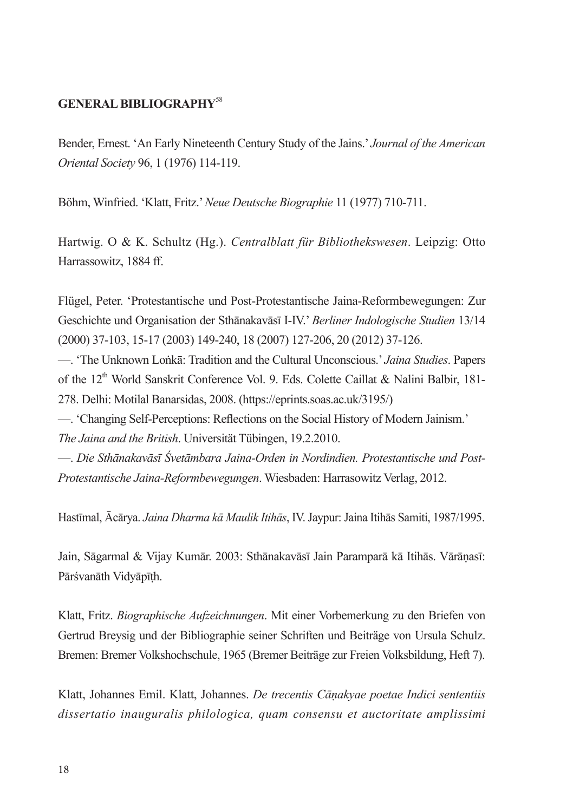## **GENERAL BIBLIOGRAPHY<sup>58</sup>**

Bender, Ernest. 'An Early Nineteenth Century Study of the Jains,' Journal of the American Oriental Society 96, 1 (1976) 114-119.

Böhm, Winfried. 'Klatt, Fritz.' Neue Deutsche Biographie 11 (1977) 710-711.

Hartwig, O & K. Schultz (Hg.). Centralblatt für Bibliothekswesen. Leipzig: Otto Harrassowitz, 1884 ff.

Flügel, Peter. 'Protestantische und Post-Protestantische Jaina-Reformbewegungen: Zur Geschichte und Organisation der Sthänakaväst I-IV.' Berliner Indologische Studien 13/14 (2000) 37-103, 15-17 (2003) 149-240, 18 (2007) 127-206, 20 (2012) 37-126.

— The Unknown Lonkā: Tradition and the Cultural Unconscious.' Jaina Studies. Papers of the 12<sup>th</sup> World Sanskrit Conference Vol. 9. Eds. Colette Caillat & Nalini Balbir, 181-278. Delhi: Motilal Banarsidas. 2008. (https://eprints.soas.ac.uk/3195/)

- Changing Self-Perceptions: Reflections on the Social History of Modern Jainism. The Jaina and the British. Universität Tübingen, 19.2.2010.

— Die Sthānakavāsī Śvetāmbara Jaina-Orden in Nordindien. Protestantische und Post-Protestantische Jaina-Reformbewegungen. Wiesbaden: Harrasowitz Verlag, 2012.

Hastīmal, Ācārya. Jaina Dharma kā Maulik Itihās, IV. Jaypur: Jaina Itihās Samiti, 1987/1995.

Jain, Sāgarmal & Vijay Kumār. 2003: Sthānakavāsī Jain Paramparā kā Itihās. Vārānasī: Pārśvanāth Vidvāpīth.

Klatt, Fritz. Biographische Aufzeichnungen. Mit einer Vorbemerkung zu den Briefen von Gertrud Breysig und der Bibliographie seiner Schriften und Beiträge von Ursula Schulz. Bremen: Bremer Volkshochschule, 1965 (Bremer Beiträge zur Freien Volksbildung, Heft 7).

Klatt, Johannes Emil, Klatt, Johannes. De trecentis Cānakvae poetae Indici sententiis dissertatio inauguralis philologica, quam consensu et auctoritate amplissimi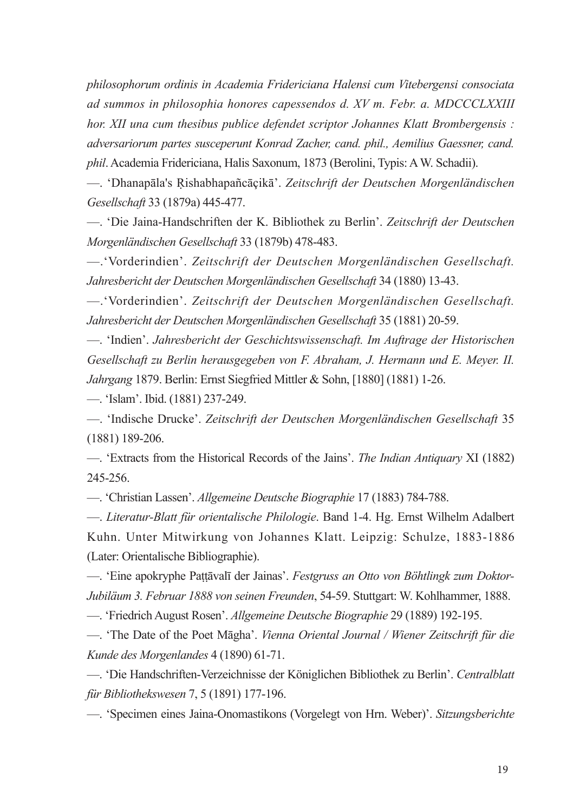philosophorum ordinis in Academia Fridericiana Halensi cum Vitebergensi consociata ad summos in philosophia honores capessendos d. XV m. Febr. a. MDCCCLXXIII hor. XII una cum thesibus publice defendet scriptor Johannes Klatt Brombergensis : adversariorum partes susceperunt Konrad Zacher, cand, phil., Aemilius Gaessner, cand, phil. Academia Fridericiana, Halis Saxonum, 1873 (Berolini, Typis: A W. Schadii).

- Dhanapāla's Rishabhapañcāçikā'. Zeitschrift der Deutschen Morgenländischen Gesellschaft 33 (1879a) 445-477.

- 'Die Jaina-Handschriften der K. Bibliothek zu Berlin'. Zeitschrift der Deutschen Morgenländischen Gesellschaft 33 (1879b) 478-483.

- "Vorderindien". Zeitschrift der Deutschen Morgenländischen Gesellschaft. Jahresbericht der Deutschen Morgenländischen Gesellschaft 34 (1880) 13-43.

- 'Vorderindien'. Zeitschrift der Deutschen Morgenländischen Gesellschaft. Jahresbericht der Deutschen Morgenländischen Gesellschaft 35 (1881) 20-59.

- 'Indien'. Jahresbericht der Geschichtswissenschaft. Im Auftrage der Historischen Gesellschaft zu Berlin herausgegeben von F. Abraham, J. Hermann und E. Meyer. II. Jahrgang 1879. Berlin: Ernst Siegfried Mittler & Sohn, [1880] (1881) 1-26.

- 'Islam', Ibid. (1881) 237-249.

- Hadische Drucke'. Zeitschrift der Deutschen Morgenländischen Gesellschaft 35  $(1881)$  189-206.

- Extracts from the Historical Records of the Jains'. The Indian Antiquary XI (1882) 245-256.

- Christian Lassen'. Allgemeine Deutsche Biographie 17 (1883) 784-788.

- Literatur-Blatt für orientalische Philologie. Band 1-4. Hg. Ernst Wilhelm Adalbert Kuhn. Unter Mitwirkung von Johannes Klatt. Leipzig: Schulze, 1883-1886 (Later: Orientalische Bibliographie).

- Eine apokryphe Pattāvalī der Jainas'. Festgruss an Otto von Böhtlingk zum Doktor-Jubiläum 3. Februar 1888 von seinen Freunden, 54-59. Stuttgart: W. Kohlhammer, 1888.

- Friedrich August Rosen'. Allgemeine Deutsche Biographie 29 (1889) 192-195.

- The Date of the Poet Māgha'. Vienna Oriental Journal / Wiener Zeitschrift für die Kunde des Morgenlandes 4 (1890) 61-71.

- Die Handschriften-Verzeichnisse der Königlichen Bibliothek zu Berlin'. Centralblatt für Bibliothekswesen 7, 5 (1891) 177-196.

- 'Specimen eines Jaina-Onomastikons (Vorgelegt von Hrn. Weber)'. Sitzungsberichte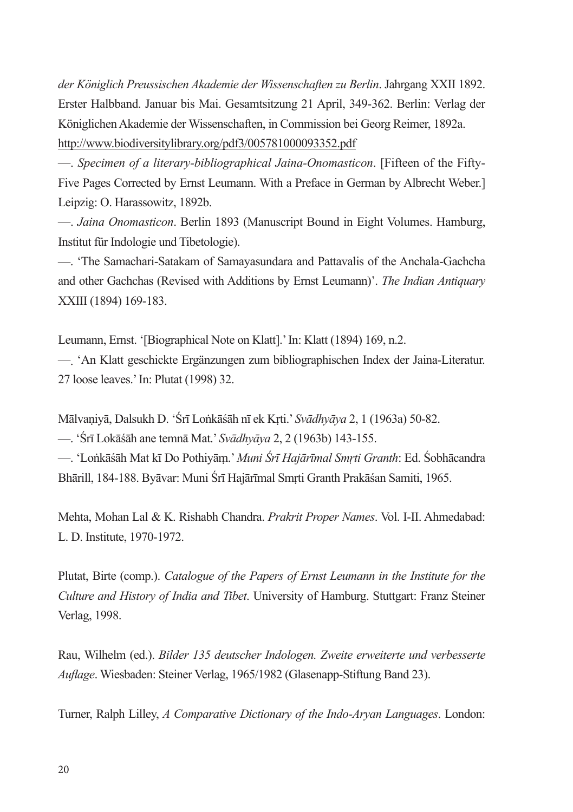der Königlich Preussischen Akademie der Wissenschaften zu Berlin. Jahrgang XXII 1892. Erster Halbband. Januar bis Mai. Gesamtsitzung 21 April, 349-362. Berlin: Verlag der Königlichen Akademie der Wissenschaften, in Commission bei Georg Reimer, 1892a. http://www.biodiversitylibrary.org/pdf3/005781000093352.pdf

- Specimen of a literary-bibliographical Jaina-Onomasticon. [Fifteen of the Fifty-Five Pages Corrected by Ernst Leumann. With a Preface in German by Albrecht Weber.] Leipzig: O. Harassowitz, 1892b.

- Jaina Onomasticon. Berlin 1893 (Manuscript Bound in Eight Volumes. Hamburg, Institut für Indologie und Tibetologie).

-. 'The Samachari-Satakam of Samayasundara and Pattavalis of the Anchala-Gachcha and other Gachchas (Revised with Additions by Ernst Leumann)'. The Indian Antiquary XXIII (1894) 169-183.

Leumann, Ernst. '[Biographical Note on Klatt].' In: Klatt (1894) 169, n.2.

- 'An Klatt geschickte Ergänzungen zum bibliographischen Index der Jaina-Literatur. 27 loose leaves.' In: Plutat (1998) 32.

Mālvaniyā, Dalsukh D. 'Śrī Lonkāśāh nī ek Krti.' Svādhyāya 2, 1 (1963a) 50-82.

- 'Śrī Lokāśāh ane temnā Mat.' Svādhyāya 2, 2 (1963b) 143-155.

—. 'Lonkāsāh Mat kī Do Pothiyām.' Muni Śrī Hajārīmal Smrti Granth: Ed. Sobhācandra Bhārill, 184-188. Byāvar: Muni Śrī Hajārīmal Smrti Granth Prakāśan Samiti, 1965.

Mehta, Mohan Lal & K. Rishabh Chandra. Prakrit Proper Names. Vol. I-II. Ahmedabad: L. D. Institute, 1970-1972.

Plutat, Birte (comp.). Catalogue of the Papers of Ernst Leumann in the Institute for the Culture and History of India and Tibet. University of Hamburg. Stuttgart: Franz Steiner Verlag, 1998.

Rau, Wilhelm (ed.). Bilder 135 deutscher Indologen. Zweite erweiterte und verbesserte *Auflage*. Wiesbaden: Steiner Verlag, 1965/1982 (Glasenapp-Stiftung Band 23).

Turner, Ralph Lilley, A Comparative Dictionary of the Indo-Aryan Languages. London: